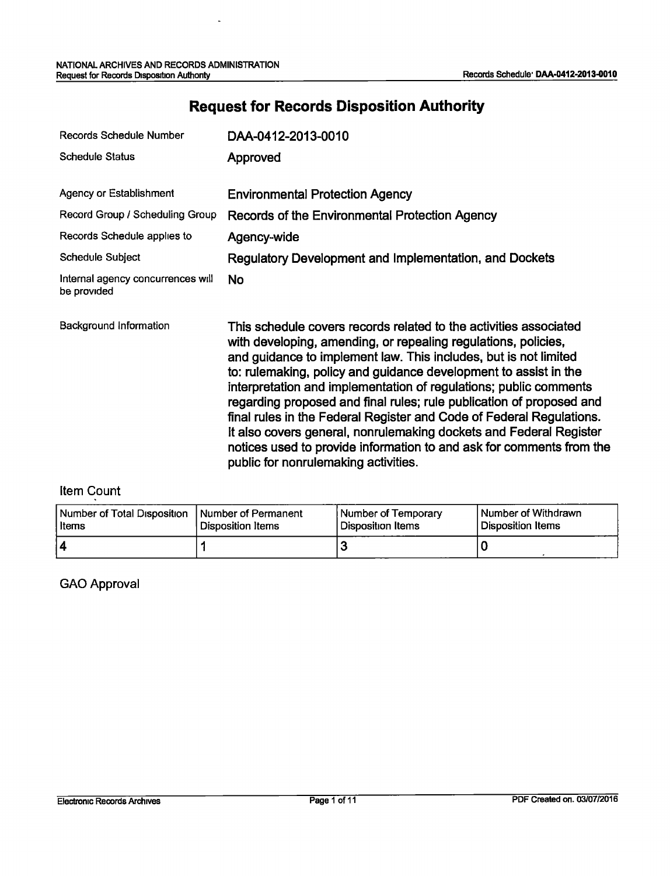$\overline{a}$ 

| Records Schedule Number                          | DAA-0412-2013-0010                                                                                                                                                                                                                                                                                                                                                                                                                                                                                                                                                                                                                                                                     |
|--------------------------------------------------|----------------------------------------------------------------------------------------------------------------------------------------------------------------------------------------------------------------------------------------------------------------------------------------------------------------------------------------------------------------------------------------------------------------------------------------------------------------------------------------------------------------------------------------------------------------------------------------------------------------------------------------------------------------------------------------|
| <b>Schedule Status</b>                           | Approved                                                                                                                                                                                                                                                                                                                                                                                                                                                                                                                                                                                                                                                                               |
| Agency or Establishment                          | <b>Environmental Protection Agency</b>                                                                                                                                                                                                                                                                                                                                                                                                                                                                                                                                                                                                                                                 |
| Record Group / Scheduling Group                  | Records of the Environmental Protection Agency                                                                                                                                                                                                                                                                                                                                                                                                                                                                                                                                                                                                                                         |
| Records Schedule applies to                      | Agency-wide                                                                                                                                                                                                                                                                                                                                                                                                                                                                                                                                                                                                                                                                            |
| Schedule Subject                                 | Regulatory Development and Implementation, and Dockets                                                                                                                                                                                                                                                                                                                                                                                                                                                                                                                                                                                                                                 |
| Internal agency concurrences will<br>be provided | <b>No</b>                                                                                                                                                                                                                                                                                                                                                                                                                                                                                                                                                                                                                                                                              |
| Background Information                           | This schedule covers records related to the activities associated<br>with developing, amending, or repealing regulations, policies,<br>and guidance to implement law. This includes, but is not limited<br>to: rulemaking, policy and guidance development to assist in the<br>interpretation and implementation of regulations; public comments<br>regarding proposed and final rules; rule publication of proposed and<br>final rules in the Federal Register and Code of Federal Regulations.<br>It also covers general, nonrulemaking dockets and Federal Register<br>notices used to provide information to and ask for comments from the<br>public for nonrulemaking activities. |

# **Request for Records Disposition Authority**

#### Item Count

| Number of Total Disposition   Number of Permanent | Disposition Items | Number of Temporary | I Number of Withdrawn |
|---------------------------------------------------|-------------------|---------------------|-----------------------|
| l Items                                           |                   | l Disposition Items | l Disposition Items   |
| 14                                                |                   |                     |                       |

#### GAO Approval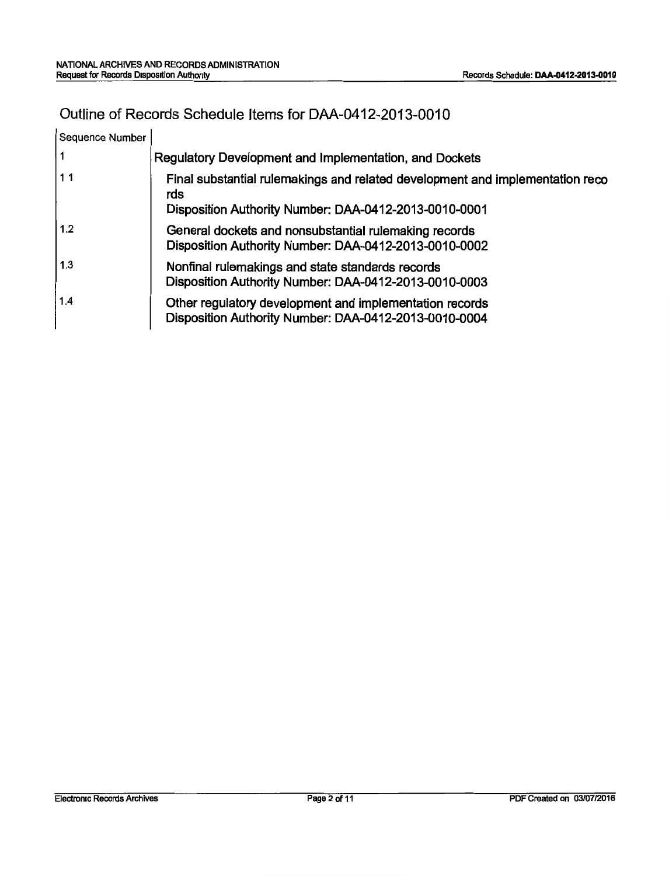## Outline of Records Schedule Items for DAA-0412-2013-0010

| Sequence Number |                                                                                                                                               |
|-----------------|-----------------------------------------------------------------------------------------------------------------------------------------------|
| 1               | Regulatory Development and Implementation, and Dockets                                                                                        |
| 11              | Final substantial rulemakings and related development and implementation reco<br>rds<br>Disposition Authority Number: DAA-0412-2013-0010-0001 |
| 1.2             | General dockets and nonsubstantial rulemaking records<br>Disposition Authority Number: DAA-0412-2013-0010-0002                                |
| 1.3             | Nonfinal rulemakings and state standards records<br>Disposition Authority Number: DAA-0412-2013-0010-0003                                     |
| 1.4             | Other regulatory development and implementation records<br>Disposition Authority Number: DAA-0412-2013-0010-0004                              |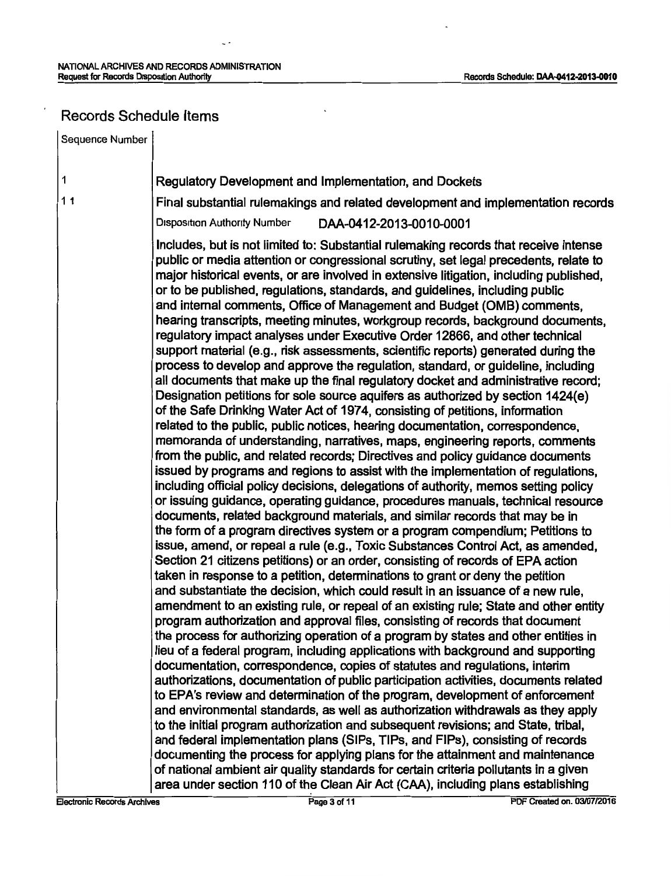$\mathbb{Z}^2$ 

### Records Schedule Items

 $\overline{\phantom{a}}$ 

| Sequence Number |                                                                                                                                                                                                                                                                                                                                                                                                                                                                                                                                                                                                                                                                                                                                                                                                                                                                                                                                                                                                                                                                                                                                                                                                                                                                                                                                                                                                                                                                                                                                                                                                                                                                                                                                                                                                                                                                                                                                                                            |
|-----------------|----------------------------------------------------------------------------------------------------------------------------------------------------------------------------------------------------------------------------------------------------------------------------------------------------------------------------------------------------------------------------------------------------------------------------------------------------------------------------------------------------------------------------------------------------------------------------------------------------------------------------------------------------------------------------------------------------------------------------------------------------------------------------------------------------------------------------------------------------------------------------------------------------------------------------------------------------------------------------------------------------------------------------------------------------------------------------------------------------------------------------------------------------------------------------------------------------------------------------------------------------------------------------------------------------------------------------------------------------------------------------------------------------------------------------------------------------------------------------------------------------------------------------------------------------------------------------------------------------------------------------------------------------------------------------------------------------------------------------------------------------------------------------------------------------------------------------------------------------------------------------------------------------------------------------------------------------------------------------|
| 1               | <b>Regulatory Development and Implementation, and Dockets</b>                                                                                                                                                                                                                                                                                                                                                                                                                                                                                                                                                                                                                                                                                                                                                                                                                                                                                                                                                                                                                                                                                                                                                                                                                                                                                                                                                                                                                                                                                                                                                                                                                                                                                                                                                                                                                                                                                                              |
| 11              | Final substantial rulemakings and related development and implementation records                                                                                                                                                                                                                                                                                                                                                                                                                                                                                                                                                                                                                                                                                                                                                                                                                                                                                                                                                                                                                                                                                                                                                                                                                                                                                                                                                                                                                                                                                                                                                                                                                                                                                                                                                                                                                                                                                           |
|                 | <b>Disposition Authority Number</b><br>DAA-0412-2013-0010-0001                                                                                                                                                                                                                                                                                                                                                                                                                                                                                                                                                                                                                                                                                                                                                                                                                                                                                                                                                                                                                                                                                                                                                                                                                                                                                                                                                                                                                                                                                                                                                                                                                                                                                                                                                                                                                                                                                                             |
|                 | Includes, but is not limited to: Substantial rulemaking records that receive intense<br>public or media attention or congressional scrutiny, set legal precedents, relate to<br>major historical events, or are involved in extensive litigation, including published,<br>or to be published, regulations, standards, and guidelines, including public<br>and internal comments, Office of Management and Budget (OMB) comments,<br>hearing transcripts, meeting minutes, workgroup records, background documents,<br>regulatory impact analyses under Executive Order 12866, and other technical<br>support material (e.g., risk assessments, scientific reports) generated during the<br>process to develop and approve the regulation, standard, or guideline, including<br>all documents that make up the final regulatory docket and administrative record;<br>Designation petitions for sole source aquifers as authorized by section 1424(e)<br>of the Safe Drinking Water Act of 1974, consisting of petitions, information<br>related to the public, public notices, hearing documentation, correspondence,<br>memoranda of understanding, narratives, maps, engineering reports, comments<br>from the public, and related records; Directives and policy guidance documents<br>issued by programs and regions to assist with the implementation of regulations,<br>including official policy decisions, delegations of authority, memos setting policy<br>or issuing guidance, operating guidance, procedures manuals, technical resource<br>documents, related background materials, and similar records that may be in<br>the form of a program directives system or a program compendium; Petitions to<br>issue, amend, or repeal a rule (e.g., Toxic Substances Control Act, as amended,<br>Section 21 citizens petitions) or an order, consisting of records of EPA action<br>taken in response to a petition, determinations to grant or deny the petition |
|                 | and substantiate the decision, which could result in an issuance of a new rule,<br>amendment to an existing rule, or repeal of an existing rule; State and other entity                                                                                                                                                                                                                                                                                                                                                                                                                                                                                                                                                                                                                                                                                                                                                                                                                                                                                                                                                                                                                                                                                                                                                                                                                                                                                                                                                                                                                                                                                                                                                                                                                                                                                                                                                                                                    |
|                 | program authorization and approval files, consisting of records that document<br>the process for authorizing operation of a program by states and other entities in                                                                                                                                                                                                                                                                                                                                                                                                                                                                                                                                                                                                                                                                                                                                                                                                                                                                                                                                                                                                                                                                                                                                                                                                                                                                                                                                                                                                                                                                                                                                                                                                                                                                                                                                                                                                        |
|                 | lieu of a federal program, including applications with background and supporting                                                                                                                                                                                                                                                                                                                                                                                                                                                                                                                                                                                                                                                                                                                                                                                                                                                                                                                                                                                                                                                                                                                                                                                                                                                                                                                                                                                                                                                                                                                                                                                                                                                                                                                                                                                                                                                                                           |
|                 | documentation, correspondence, copies of statutes and regulations, interim<br>authorizations, documentation of public participation activities, documents related                                                                                                                                                                                                                                                                                                                                                                                                                                                                                                                                                                                                                                                                                                                                                                                                                                                                                                                                                                                                                                                                                                                                                                                                                                                                                                                                                                                                                                                                                                                                                                                                                                                                                                                                                                                                          |
|                 | to EPA's review and determination of the program, development of enforcement                                                                                                                                                                                                                                                                                                                                                                                                                                                                                                                                                                                                                                                                                                                                                                                                                                                                                                                                                                                                                                                                                                                                                                                                                                                                                                                                                                                                                                                                                                                                                                                                                                                                                                                                                                                                                                                                                               |
|                 | and environmental standards, as well as authorization withdrawals as they apply                                                                                                                                                                                                                                                                                                                                                                                                                                                                                                                                                                                                                                                                                                                                                                                                                                                                                                                                                                                                                                                                                                                                                                                                                                                                                                                                                                                                                                                                                                                                                                                                                                                                                                                                                                                                                                                                                            |
|                 | to the initial program authorization and subsequent revisions; and State, tribal,                                                                                                                                                                                                                                                                                                                                                                                                                                                                                                                                                                                                                                                                                                                                                                                                                                                                                                                                                                                                                                                                                                                                                                                                                                                                                                                                                                                                                                                                                                                                                                                                                                                                                                                                                                                                                                                                                          |
|                 | and federal implementation plans (SIPs, TIPs, and FIPs), consisting of records                                                                                                                                                                                                                                                                                                                                                                                                                                                                                                                                                                                                                                                                                                                                                                                                                                                                                                                                                                                                                                                                                                                                                                                                                                                                                                                                                                                                                                                                                                                                                                                                                                                                                                                                                                                                                                                                                             |
|                 | documenting the process for applying plans for the attainment and maintenance                                                                                                                                                                                                                                                                                                                                                                                                                                                                                                                                                                                                                                                                                                                                                                                                                                                                                                                                                                                                                                                                                                                                                                                                                                                                                                                                                                                                                                                                                                                                                                                                                                                                                                                                                                                                                                                                                              |
|                 | of national ambient air quality standards for certain criteria pollutants in a given<br>area under section 110 of the Clean Air Act (CAA), including plans establishing                                                                                                                                                                                                                                                                                                                                                                                                                                                                                                                                                                                                                                                                                                                                                                                                                                                                                                                                                                                                                                                                                                                                                                                                                                                                                                                                                                                                                                                                                                                                                                                                                                                                                                                                                                                                    |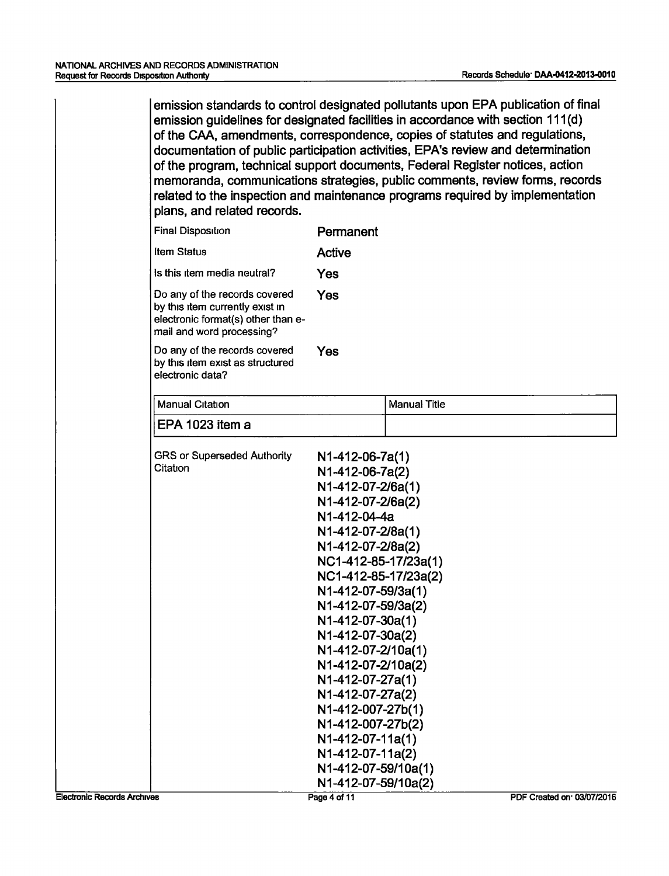emission standards to control designated pollutants upon EPA publication of final emission guidelines for designated facilities in accordance with section 111 (d) of the CAA, amendments, correspondence, copies of statutes and regulations, documentation of public participation activities, EPA's review and determination of the program, technical support documents, Federal Register notices, action memoranda, communications strategies, public comments, review forms, records related to the inspection and maintenance programs required by implementation plans, and related records.

| <b>Final Disposition</b>                                                                                                            | Permanent                                                                                                                                                                                                                                                                                                                                                                                                                                        |                     |
|-------------------------------------------------------------------------------------------------------------------------------------|--------------------------------------------------------------------------------------------------------------------------------------------------------------------------------------------------------------------------------------------------------------------------------------------------------------------------------------------------------------------------------------------------------------------------------------------------|---------------------|
| <b>Item Status</b>                                                                                                                  | <b>Active</b>                                                                                                                                                                                                                                                                                                                                                                                                                                    |                     |
| Is this item media neutral?                                                                                                         | Yes                                                                                                                                                                                                                                                                                                                                                                                                                                              |                     |
| Do any of the records covered<br>by this item currently exist in<br>electronic format(s) other than e-<br>mail and word processing? | Yes                                                                                                                                                                                                                                                                                                                                                                                                                                              |                     |
| Do any of the records covered<br>by this item exist as structured<br>electronic data?                                               | Yes                                                                                                                                                                                                                                                                                                                                                                                                                                              |                     |
| <b>Manual Citation</b>                                                                                                              |                                                                                                                                                                                                                                                                                                                                                                                                                                                  | <b>Manual Title</b> |
| EPA 1023 item a                                                                                                                     |                                                                                                                                                                                                                                                                                                                                                                                                                                                  |                     |
| <b>GRS or Superseded Authority</b><br>Citation                                                                                      | N1-412-06-7a(1)<br>N1-412-06-7a(2)<br>N1-412-07-2/6a(1)<br>N1-412-07-2/6a(2)<br>N1-412-04-4a<br>N1-412-07-2/8a(1)<br>N1-412-07-2/8a(2)<br>NC1-412-85-17/23a(1)<br>NC1-412-85-17/23a(2)<br>N1-412-07-59/3a(1)<br>N1-412-07-59/3a(2)<br>N1-412-07-30a(1)<br>N1-412-07-30a(2)<br>N1-412-07-2/10a(1)<br>N1-412-07-2/10a(2)<br>N1-412-07-27a(1)<br>N1-412-07-27a(2)<br>N1-412-007-27b(1)<br>N1-412-007-27b(2)<br>N1-412-07-11a(1)<br>N1-412-07-11a(2) |                     |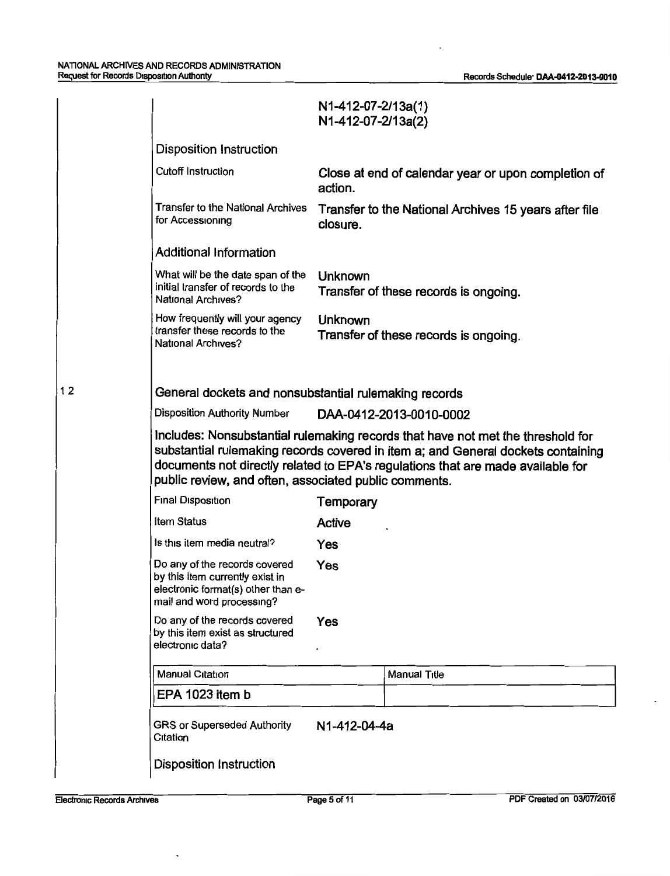|    |                                                                                                                                     | N1-412-07-2/13a(1)<br>N1-412-07-2/13a(2) |                                                                                                                                                                                                                                                        |
|----|-------------------------------------------------------------------------------------------------------------------------------------|------------------------------------------|--------------------------------------------------------------------------------------------------------------------------------------------------------------------------------------------------------------------------------------------------------|
|    | <b>Disposition Instruction</b>                                                                                                      |                                          |                                                                                                                                                                                                                                                        |
|    | <b>Cutoff Instruction</b>                                                                                                           | action.                                  | Close at end of calendar year or upon completion of                                                                                                                                                                                                    |
|    | Transfer to the National Archives<br>for Accessioning                                                                               | closure.                                 | Transfer to the National Archives 15 years after file                                                                                                                                                                                                  |
|    | <b>Additional Information</b>                                                                                                       |                                          |                                                                                                                                                                                                                                                        |
|    | What will be the date span of the<br>initial transfer of records to the<br>National Archives?                                       | Unknown                                  | Transfer of these records is ongoing.                                                                                                                                                                                                                  |
|    | How frequently will your agency<br>transfer these records to the<br><b>National Archives?</b>                                       | <b>Unknown</b>                           | Transfer of these records is ongoing.                                                                                                                                                                                                                  |
|    |                                                                                                                                     |                                          |                                                                                                                                                                                                                                                        |
| 12 | General dockets and nonsubstantial rulemaking records                                                                               |                                          |                                                                                                                                                                                                                                                        |
|    | <b>Disposition Authority Number</b>                                                                                                 |                                          | DAA-0412-2013-0010-0002                                                                                                                                                                                                                                |
|    | public review, and often, associated public comments.                                                                               |                                          | Includes: Nonsubstantial rulemaking records that have not met the threshold for<br>substantial rulemaking records covered in item a; and General dockets containing<br>documents not directly related to EPA's regulations that are made available for |
|    | <b>Final Disposition</b>                                                                                                            | Temporary                                |                                                                                                                                                                                                                                                        |
|    | <b>Item Status</b>                                                                                                                  | <b>Active</b>                            |                                                                                                                                                                                                                                                        |
|    | Is this item media neutral?                                                                                                         | Yes                                      |                                                                                                                                                                                                                                                        |
|    | Do any of the records covered<br>by this item currently exist in<br>electronic format(s) other than e-<br>mail and word processing? | Yes                                      |                                                                                                                                                                                                                                                        |
|    | Do any of the records covered<br>by this item exist as structured<br>electronic data?                                               | Yes                                      |                                                                                                                                                                                                                                                        |
|    | Manual Citation                                                                                                                     |                                          | <b>Manual Title</b>                                                                                                                                                                                                                                    |
|    | EPA 1023 item b                                                                                                                     |                                          |                                                                                                                                                                                                                                                        |
|    | <b>GRS or Superseded Authority</b><br>Citation                                                                                      | N1-412-04-4a                             |                                                                                                                                                                                                                                                        |
|    | <b>Disposition Instruction</b>                                                                                                      |                                          |                                                                                                                                                                                                                                                        |

 $\ddot{\phantom{a}}$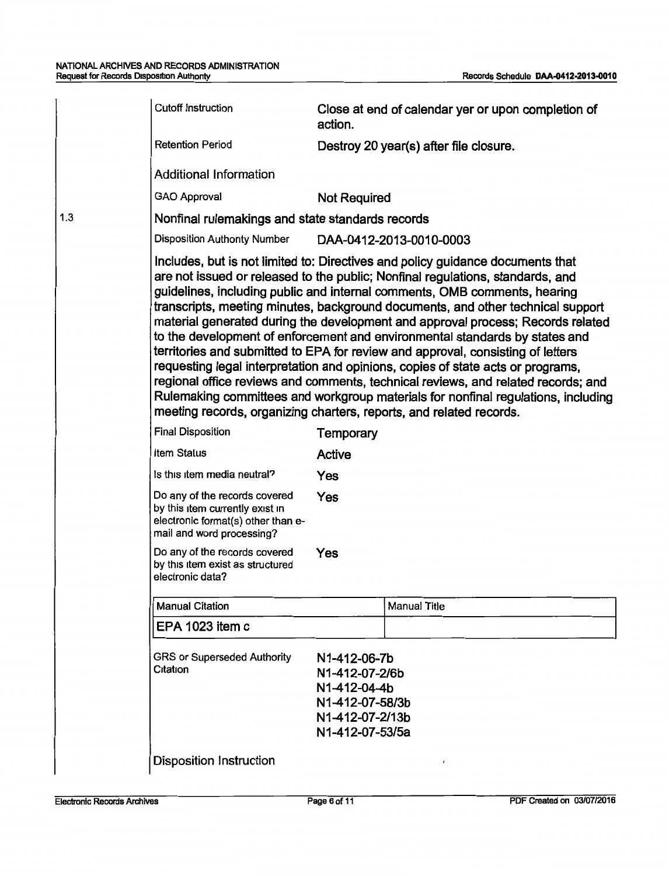|     | <b>Cutoff Instruction</b>                                                                                                           |                                                                                                         | Close at end of calendar yer or upon completion of                                                                                                                                                                                                                                                                                                                                                                                                                                                                                                                                                                                                                                                                                                                                                                                                 |
|-----|-------------------------------------------------------------------------------------------------------------------------------------|---------------------------------------------------------------------------------------------------------|----------------------------------------------------------------------------------------------------------------------------------------------------------------------------------------------------------------------------------------------------------------------------------------------------------------------------------------------------------------------------------------------------------------------------------------------------------------------------------------------------------------------------------------------------------------------------------------------------------------------------------------------------------------------------------------------------------------------------------------------------------------------------------------------------------------------------------------------------|
|     |                                                                                                                                     | action.                                                                                                 |                                                                                                                                                                                                                                                                                                                                                                                                                                                                                                                                                                                                                                                                                                                                                                                                                                                    |
|     | <b>Retention Period</b>                                                                                                             |                                                                                                         | Destroy 20 year(s) after file closure.                                                                                                                                                                                                                                                                                                                                                                                                                                                                                                                                                                                                                                                                                                                                                                                                             |
|     | <b>Additional Information</b>                                                                                                       |                                                                                                         |                                                                                                                                                                                                                                                                                                                                                                                                                                                                                                                                                                                                                                                                                                                                                                                                                                                    |
|     | <b>GAO Approval</b>                                                                                                                 | <b>Not Required</b>                                                                                     |                                                                                                                                                                                                                                                                                                                                                                                                                                                                                                                                                                                                                                                                                                                                                                                                                                                    |
| 1.3 | Nonfinal rulemakings and state standards records                                                                                    |                                                                                                         |                                                                                                                                                                                                                                                                                                                                                                                                                                                                                                                                                                                                                                                                                                                                                                                                                                                    |
|     | <b>Disposition Authority Number</b>                                                                                                 |                                                                                                         | DAA-0412-2013-0010-0003                                                                                                                                                                                                                                                                                                                                                                                                                                                                                                                                                                                                                                                                                                                                                                                                                            |
|     | meeting records, organizing charters, reports, and related records.                                                                 |                                                                                                         | Includes, but is not limited to: Directives and policy guidance documents that<br>are not issued or released to the public; Nonfinal regulations, standards, and<br>guidelines, including public and internal comments, OMB comments, hearing<br>transcripts, meeting minutes, background documents, and other technical support<br>material generated during the development and approval process; Records related<br>to the development of enforcement and environmental standards by states and<br>territories and submitted to EPA for review and approval, consisting of letters<br>requesting legal interpretation and opinions, copies of state acts or programs,<br>regional office reviews and comments, technical reviews, and related records; and<br>Rulemaking committees and workgroup materials for nonfinal regulations, including |
|     | <b>Final Disposition</b>                                                                                                            | Temporary                                                                                               |                                                                                                                                                                                                                                                                                                                                                                                                                                                                                                                                                                                                                                                                                                                                                                                                                                                    |
|     | Item Status                                                                                                                         | Active                                                                                                  |                                                                                                                                                                                                                                                                                                                                                                                                                                                                                                                                                                                                                                                                                                                                                                                                                                                    |
|     | is this item media neutral?                                                                                                         | Yes                                                                                                     |                                                                                                                                                                                                                                                                                                                                                                                                                                                                                                                                                                                                                                                                                                                                                                                                                                                    |
|     | Do any of the records covered<br>by this item currently exist in<br>electronic format(s) other than e-<br>mail and word processing? | Yes                                                                                                     |                                                                                                                                                                                                                                                                                                                                                                                                                                                                                                                                                                                                                                                                                                                                                                                                                                                    |
|     | Do any of the records covered<br>by this item exist as structured<br>electronic data?                                               | Yes                                                                                                     |                                                                                                                                                                                                                                                                                                                                                                                                                                                                                                                                                                                                                                                                                                                                                                                                                                                    |
|     | <b>Manual Citation</b>                                                                                                              |                                                                                                         | <b>Manual Title</b>                                                                                                                                                                                                                                                                                                                                                                                                                                                                                                                                                                                                                                                                                                                                                                                                                                |
|     | EPA 1023 item c                                                                                                                     |                                                                                                         |                                                                                                                                                                                                                                                                                                                                                                                                                                                                                                                                                                                                                                                                                                                                                                                                                                                    |
|     | <b>GRS or Superseded Authority</b><br>Citation                                                                                      | N1-412-06-7b<br>N1-412-07-2/6b<br>N1-412-04-4b<br>N1-412-07-58/3b<br>N1-412-07-2/13b<br>N1-412-07-53/5a |                                                                                                                                                                                                                                                                                                                                                                                                                                                                                                                                                                                                                                                                                                                                                                                                                                                    |
|     | <b>Disposition Instruction</b>                                                                                                      |                                                                                                         | $\pmb{\cdot}$                                                                                                                                                                                                                                                                                                                                                                                                                                                                                                                                                                                                                                                                                                                                                                                                                                      |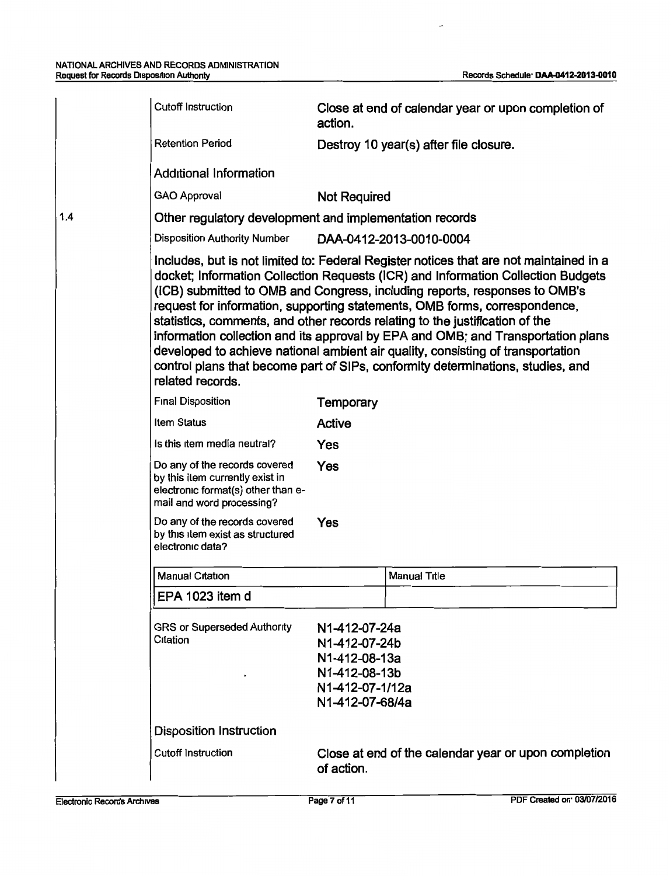|     | <b>Cutoff Instruction</b>                                                                                                           | action.                                                                                                | Close at end of calendar year or upon completion of                                                                                                                                                                                                                                                                                                                                                                                                                                                                                                                                                                                                                              |
|-----|-------------------------------------------------------------------------------------------------------------------------------------|--------------------------------------------------------------------------------------------------------|----------------------------------------------------------------------------------------------------------------------------------------------------------------------------------------------------------------------------------------------------------------------------------------------------------------------------------------------------------------------------------------------------------------------------------------------------------------------------------------------------------------------------------------------------------------------------------------------------------------------------------------------------------------------------------|
|     | <b>Retention Period</b>                                                                                                             |                                                                                                        | Destroy 10 year(s) after file closure.                                                                                                                                                                                                                                                                                                                                                                                                                                                                                                                                                                                                                                           |
|     | <b>Additional Information</b>                                                                                                       |                                                                                                        |                                                                                                                                                                                                                                                                                                                                                                                                                                                                                                                                                                                                                                                                                  |
|     | <b>GAO Approval</b>                                                                                                                 | <b>Not Required</b>                                                                                    |                                                                                                                                                                                                                                                                                                                                                                                                                                                                                                                                                                                                                                                                                  |
| 1.4 | Other regulatory development and implementation records                                                                             |                                                                                                        |                                                                                                                                                                                                                                                                                                                                                                                                                                                                                                                                                                                                                                                                                  |
|     | <b>Disposition Authority Number</b>                                                                                                 |                                                                                                        | DAA-0412-2013-0010-0004                                                                                                                                                                                                                                                                                                                                                                                                                                                                                                                                                                                                                                                          |
|     | related records.                                                                                                                    |                                                                                                        | Includes, but is not limited to: Federal Register notices that are not maintained in a<br>docket; Information Collection Requests (ICR) and Information Collection Budgets<br>(ICB) submitted to OMB and Congress, including reports, responses to OMB's<br>request for information, supporting statements, OMB forms, correspondence,<br>statistics, comments, and other records relating to the justification of the<br>information collection and its approval by EPA and OMB; and Transportation plans<br>developed to achieve national ambient air quality, consisting of transportation<br>control plans that become part of SIPs, conformity determinations, studies, and |
|     | <b>Final Disposition</b>                                                                                                            | Temporary                                                                                              |                                                                                                                                                                                                                                                                                                                                                                                                                                                                                                                                                                                                                                                                                  |
|     | Item Status                                                                                                                         | Active                                                                                                 |                                                                                                                                                                                                                                                                                                                                                                                                                                                                                                                                                                                                                                                                                  |
|     | Is this item media neutral?                                                                                                         | Yes                                                                                                    |                                                                                                                                                                                                                                                                                                                                                                                                                                                                                                                                                                                                                                                                                  |
|     | Do any of the records covered<br>by this item currently exist in<br>electronic format(s) other than e-<br>mail and word processing? | Yes                                                                                                    |                                                                                                                                                                                                                                                                                                                                                                                                                                                                                                                                                                                                                                                                                  |
|     | Do any of the records covered<br>by this item exist as structured<br>electronic data?                                               | Yes                                                                                                    |                                                                                                                                                                                                                                                                                                                                                                                                                                                                                                                                                                                                                                                                                  |
|     | <b>Manual Citation</b>                                                                                                              |                                                                                                        | <b>Manual Title</b>                                                                                                                                                                                                                                                                                                                                                                                                                                                                                                                                                                                                                                                              |
|     | EPA 1023 item d                                                                                                                     |                                                                                                        |                                                                                                                                                                                                                                                                                                                                                                                                                                                                                                                                                                                                                                                                                  |
|     | <b>GRS or Superseded Authority</b><br>Citation                                                                                      | N1-412-07-24a<br>N1-412-07-24b<br>N1-412-08-13a<br>N1-412-08-13b<br>N1-412-07-1/12a<br>N1-412-07-68/4a |                                                                                                                                                                                                                                                                                                                                                                                                                                                                                                                                                                                                                                                                                  |
|     | <b>Disposition Instruction</b>                                                                                                      |                                                                                                        |                                                                                                                                                                                                                                                                                                                                                                                                                                                                                                                                                                                                                                                                                  |
|     | <b>Cutoff Instruction</b>                                                                                                           | of action.                                                                                             | Close at end of the calendar year or upon completion                                                                                                                                                                                                                                                                                                                                                                                                                                                                                                                                                                                                                             |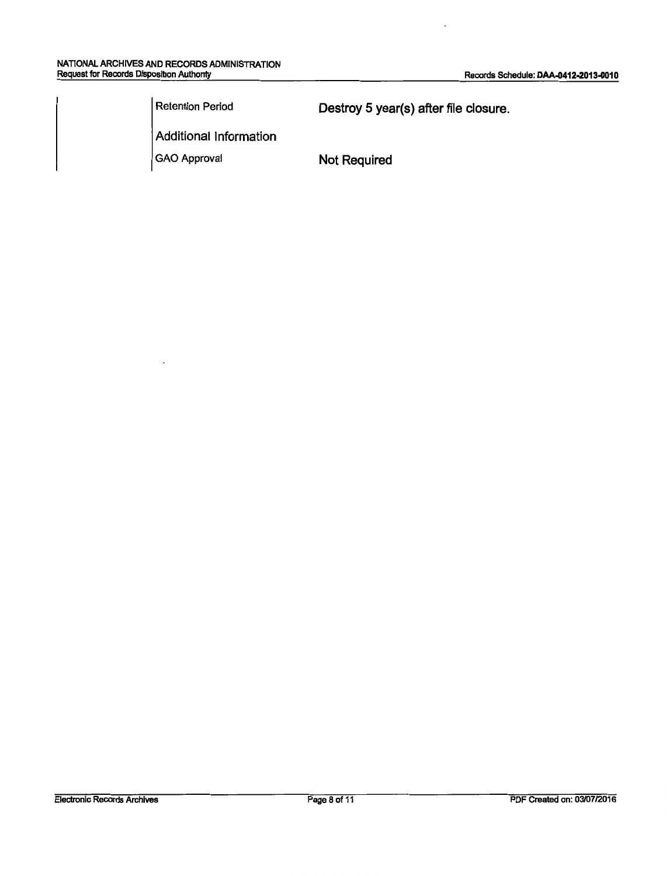Retention Period **Destroy 5 year(s) after file closure.** 

Additional Information

GAO Approval Not Required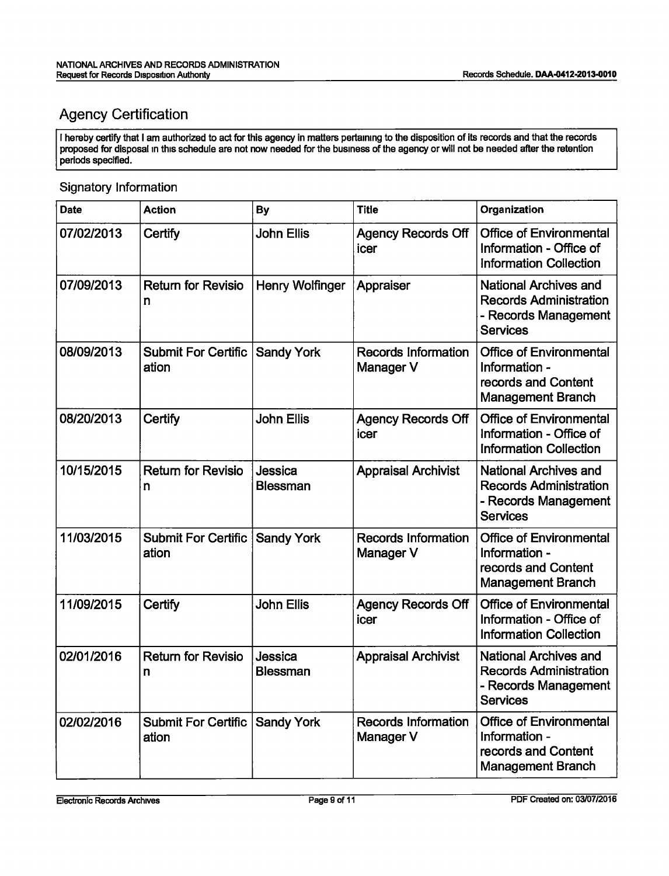## Agency Certification

I hereby certify that I am authorized to act for this agency in matters pertammg to the disposition of its records and that the records proposed for disposal m this schedule are not now needed for the business of the agency or will not be needed after the retention periods specified.

#### Signatory Information

| <b>Date</b> | <b>Action</b>                       | <b>By</b>                  | <b>Title</b>                            | Organization                                                                                             |
|-------------|-------------------------------------|----------------------------|-----------------------------------------|----------------------------------------------------------------------------------------------------------|
| 07/02/2013  | Certify                             | <b>John Ellis</b>          | <b>Agency Records Off</b><br>icer       | <b>Office of Environmental</b><br>Information - Office of<br><b>Information Collection</b>               |
| 07/09/2013  | <b>Return for Revisio</b><br>n      | Henry Wolfinger            | Appraiser                               | <b>National Archives and</b><br><b>Records Administration</b><br>- Records Management<br><b>Services</b> |
| 08/09/2013  | <b>Submit For Certific</b><br>ation | <b>Sandy York</b>          | <b>Records Information</b><br>Manager V | <b>Office of Environmental</b><br>Information -<br>records and Content<br><b>Management Branch</b>       |
| 08/20/2013  | Certify                             | <b>John Ellis</b>          | <b>Agency Records Off</b><br>icer       | <b>Office of Environmental</b><br>Information - Office of<br><b>Information Collection</b>               |
| 10/15/2015  | <b>Return for Revisio</b><br>n      | Jessica<br><b>Blessman</b> | <b>Appraisal Archivist</b>              | <b>National Archives and</b><br><b>Records Administration</b><br>- Records Management<br><b>Services</b> |
| 11/03/2015  | <b>Submit For Certific</b><br>ation | <b>Sandy York</b>          | <b>Records Information</b><br>Manager V | <b>Office of Environmental</b><br>Information -<br>records and Content<br><b>Management Branch</b>       |
| 11/09/2015  | Certify                             | <b>John Ellis</b>          | <b>Agency Records Off</b><br>icer       | <b>Office of Environmental</b><br>Information - Office of<br><b>Information Collection</b>               |
| 02/01/2016  | <b>Return for Revisio</b><br>n      | Jessica<br><b>Blessman</b> | <b>Appraisal Archivist</b>              | <b>National Archives and</b><br><b>Records Administration</b><br>- Records Management<br><b>Services</b> |
| 02/02/2016  | <b>Submit For Certific</b><br>ation | <b>Sandy York</b>          | <b>Records Information</b><br>Manager V | <b>Office of Environmental</b><br>Information -<br>records and Content<br><b>Management Branch</b>       |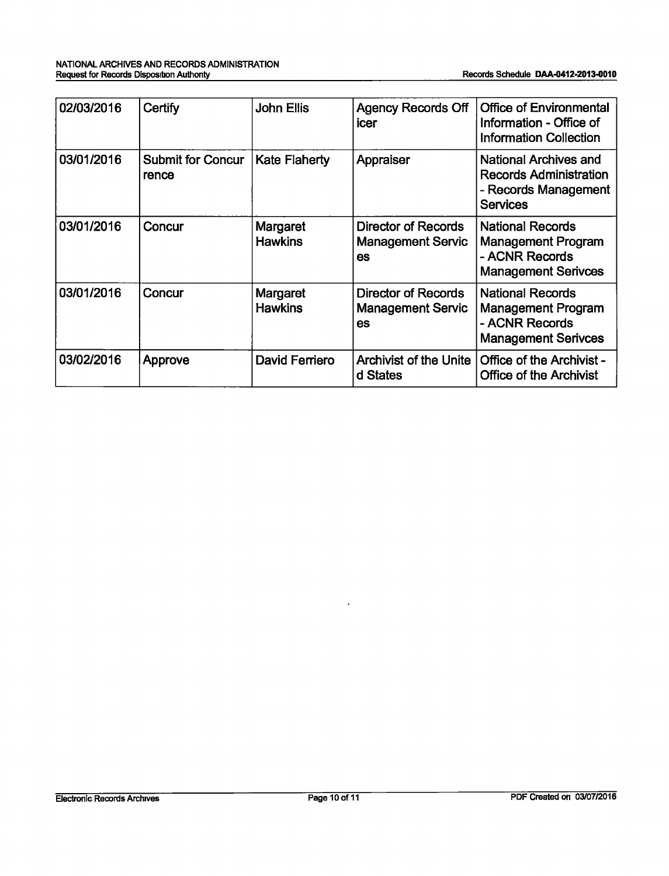| 02/03/2016 | Certify                           | <b>John Ellis</b>          | <b>Agency Records Off</b><br>icer                            | <b>Office of Environmental</b><br>Information - Office of<br><b>Information Collection</b>               |
|------------|-----------------------------------|----------------------------|--------------------------------------------------------------|----------------------------------------------------------------------------------------------------------|
| 03/01/2016 | <b>Submit for Concur</b><br>rence | <b>Kate Flaherty</b>       | Appraiser                                                    | <b>National Archives and</b><br><b>Records Administration</b><br>- Records Management<br><b>Services</b> |
| 03/01/2016 | Concur                            | Margaret<br><b>Hawkins</b> | <b>Director of Records</b><br><b>Management Servic</b><br>es | <b>National Records</b><br><b>Management Program</b><br>- ACNR Records<br><b>Management Serivces</b>     |
| 03/01/2016 | Concur                            | Margaret<br><b>Hawkins</b> | <b>Director of Records</b><br><b>Management Servic</b><br>es | <b>National Records</b><br><b>Management Program</b><br>- ACNR Records<br><b>Management Serivces</b>     |
| 03/02/2016 | Approve                           | David Ferriero             | <b>Archivist of the Unite</b><br>d States                    | <b>Office of the Archivist -</b><br><b>Office of the Archivist</b>                                       |

 $\ddot{\phantom{a}}$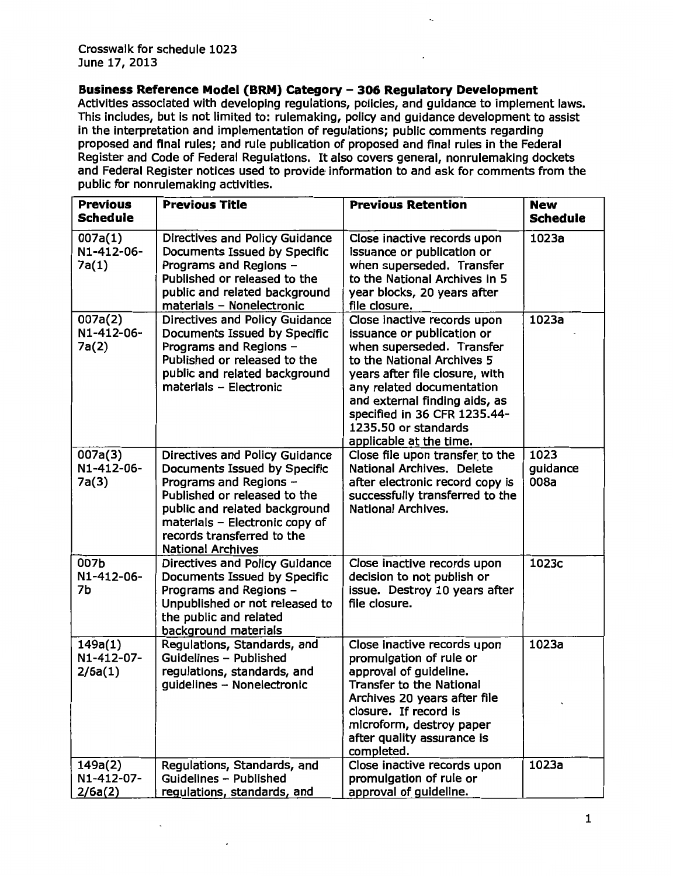**Business Reference Model (BRM) Category - 306 Regulatory Development** 

Activities associated with developing regulations, policies, and guidance to implement laws. This includes, but is not limited to: rulemaking, policy and guidance development to assist in the interpretation and implementation of regulations; public comments regarding proposed and final rules; and rule publication of proposed and final rules in the Federal Register and Code of Federal Regulations. It also covers general, nonrulemaking dockets and Federal Register notices used to provide· information to and ask for comments from the public for nonrulemaking activities.

| <b>Previous</b><br><b>Schedule</b> | <b>Previous Title</b>                                                                                                                                                                                                                                 | <b>Previous Retention</b>                                                                                                                                                                                                                                                                               | <b>New</b><br><b>Schedule</b> |
|------------------------------------|-------------------------------------------------------------------------------------------------------------------------------------------------------------------------------------------------------------------------------------------------------|---------------------------------------------------------------------------------------------------------------------------------------------------------------------------------------------------------------------------------------------------------------------------------------------------------|-------------------------------|
| 007a(1)<br>N1-412-06-<br>7a(1)     | Directives and Policy Guidance<br>Documents Issued by Specific<br>Programs and Regions -<br>Published or released to the<br>public and related background<br>materials - Nonelectronic                                                                | Close inactive records upon<br>issuance or publication or<br>when superseded. Transfer<br>to the National Archives in 5<br>year blocks, 20 years after<br>file closure.                                                                                                                                 | 1023a                         |
| 007a(2)<br>N1-412-06-<br>7a(2)     | Directives and Policy Guidance<br>Documents Issued by Specific<br>Programs and Regions -<br>Published or released to the<br>public and related background<br>materials - Electronic                                                                   | Close inactive records upon<br>issuance or publication or<br>when superseded. Transfer<br>to the National Archives 5<br>years after file closure, with<br>any related documentation<br>and external finding aids, as<br>specified in 36 CFR 1235.44-<br>1235.50 or standards<br>applicable at the time. | 1023a                         |
| 007a(3)<br>N1-412-06-<br>7a(3)     | Directives and Policy Guidance<br>Documents Issued by Specific<br>Programs and Regions -<br>Published or released to the<br>public and related background<br>materials - Electronic copy of<br>records transferred to the<br><b>National Archives</b> | Close file upon transfer to the<br>National Archives. Delete<br>after electronic record copy is<br>successfully transferred to the<br><b>National Archives.</b>                                                                                                                                         | 1023<br>guidance<br>008a      |
| 007b<br>N1-412-06-<br>7b           | Directives and Policy Guidance<br>Documents Issued by Specific<br>Programs and Regions -<br>Unpublished or not released to<br>the public and related<br>background materials                                                                          | Close inactive records upon<br>decision to not publish or<br>issue. Destroy 10 years after<br>file closure.                                                                                                                                                                                             | 1023c                         |
| 149a(1)<br>N1-412-07-<br>2/6a(1)   | Regulations, Standards, and<br>Guidelines - Published<br>regulations, standards, and<br>quidelines - Nonelectronic                                                                                                                                    | Close inactive records upon<br>promulgation of rule or<br>approval of guideline.<br><b>Transfer to the National</b><br>Archives 20 years after file<br>closure. If record is<br>microform, destroy paper<br>after quality assurance is<br>completed.                                                    | 1023a                         |
| 149a(2)<br>N1-412-07-<br>2/6a(2)   | Regulations, Standards, and<br>Guidelines - Published<br>regulations, standards, and                                                                                                                                                                  | Close inactive records upon<br>promulgation of rule or<br>approval of guideline.                                                                                                                                                                                                                        | 1023a                         |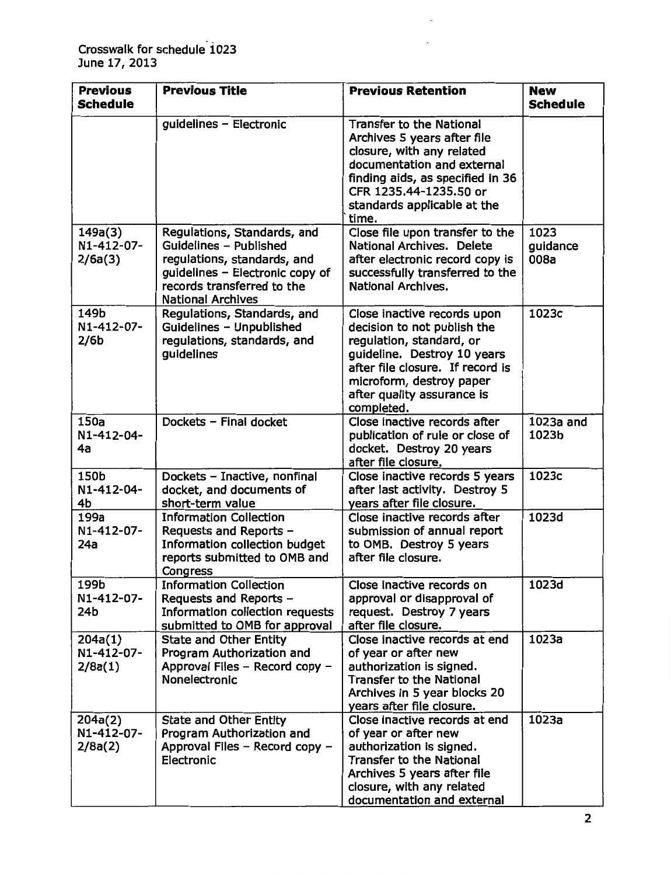| <b>Previous</b><br><b>Schedule</b>     | <b>Previous Title</b>                                                                                                                                                             | <b>Previous Retention</b>                                                                                                                                                                                                         | <b>New</b><br><b>Schedule</b> |
|----------------------------------------|-----------------------------------------------------------------------------------------------------------------------------------------------------------------------------------|-----------------------------------------------------------------------------------------------------------------------------------------------------------------------------------------------------------------------------------|-------------------------------|
|                                        | guidelines - Electronic                                                                                                                                                           | <b>Transfer to the National</b><br>Archives 5 years after file<br>closure, with any related<br>documentation and external<br>finding aids, as specified in 36<br>CFR 1235.44-1235.50 or<br>standards applicable at the<br>time.   |                               |
| 149a(3)<br>N1-412-07-<br>2/6a(3)       | Regulations, Standards, and<br>Guidelines - Published<br>regulations, standards, and<br>guidelines - Electronic copy of<br>records transferred to the<br><b>National Archives</b> | Close file upon transfer to the<br><b>National Archives. Delete</b><br>after electronic record copy is<br>successfully transferred to the<br><b>National Archives.</b>                                                            | 1023<br>guidance<br>008a      |
| 149b<br>N1-412-07-<br>2/6 <sub>b</sub> | Regulations, Standards, and<br>Guidelines - Unpublished<br>regulations, standards, and<br>guidelines                                                                              | Close inactive records upon<br>decision to not publish the<br>regulation, standard, or<br>guideline. Destroy 10 years<br>after file closure. If record is<br>microform, destroy paper<br>after quality assurance is<br>completed. | 1023c                         |
| 150a<br>N1-412-04-<br>4a               | Dockets - Final docket                                                                                                                                                            | Close inactive records after<br>publication of rule or close of<br>docket. Destroy 20 years<br>after file closure.                                                                                                                | 1023a and<br>1023b            |
| 150b<br>N1-412-04-<br>4b               | Dockets - Inactive, nonfinal<br>docket, and documents of<br>short-term value                                                                                                      | Close inactive records 5 years<br>after last activity. Destroy 5<br>years after file closure.                                                                                                                                     | 1023c                         |
| 199a<br>N1-412-07-<br>24a              | <b>Information Collection</b><br>Requests and Reports -<br><b>Information collection budget</b><br>reports submitted to OMB and<br>Congress                                       | Close inactive records after<br>submission of annual report<br>to OMB. Destroy 5 years<br>after file closure.                                                                                                                     | 1023d                         |
| 199b<br>N1-412-07-<br>24b              | <b>Information Collection</b><br>Requests and Reports -<br>Information collection requests<br>submitted to OMB for approval                                                       | Close inactive records on<br>approval or disapproval of<br>request. Destroy 7 years<br>after file closure.                                                                                                                        | 1023d                         |
| 204a(1)<br>N1-412-07-<br>2/8a(1)       | <b>State and Other Entity</b><br>Program Authorization and<br>Approval Files - Record copy -<br>Nonelectronic                                                                     | Close inactive records at end<br>of year or after new<br>authorization is signed.<br><b>Transfer to the National</b><br>Archives in 5 year blocks 20<br>years after file closure.                                                 | 1023a                         |
| 204a(2)<br>N1-412-07-<br>2/8a(2)       | <b>State and Other Entity</b><br>Program Authorization and<br>Approval Files - Record copy -<br>Electronic                                                                        | Close inactive records at end<br>of year or after new<br>authorization is signed.<br><b>Transfer to the National</b><br>Archives 5 years after file<br>closure, with any related<br>documentation and external                    | 1023a                         |

 $\hat{\phantom{a}}$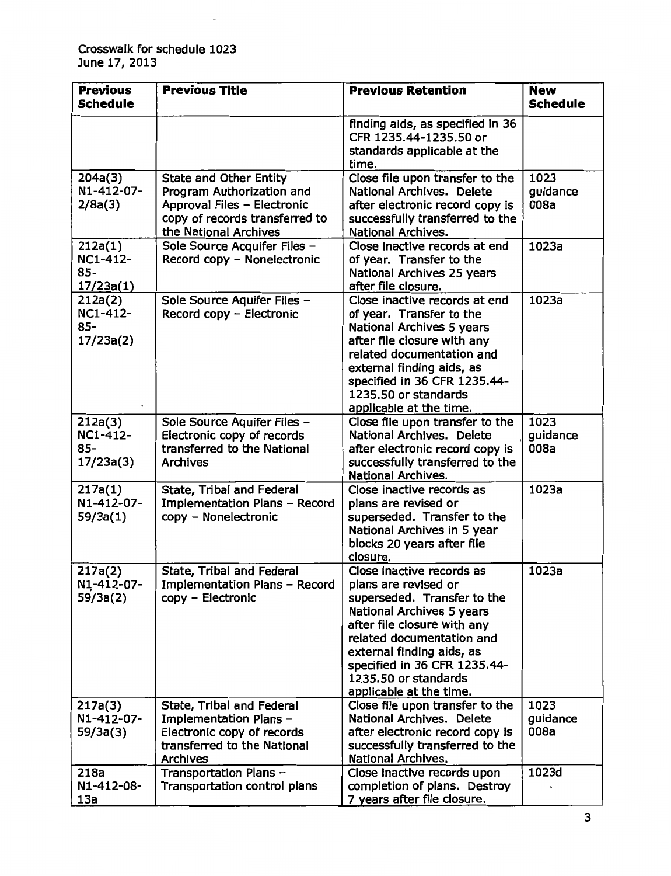$\overline{\phantom{a}}$ 

| <b>Previous</b><br><b>Schedule</b>                | <b>Previous Title</b>                                                                                                                                | <b>Previous Retention</b>                                                                                                                                                                                                                                                                        | <b>New</b><br><b>Schedule</b> |
|---------------------------------------------------|------------------------------------------------------------------------------------------------------------------------------------------------------|--------------------------------------------------------------------------------------------------------------------------------------------------------------------------------------------------------------------------------------------------------------------------------------------------|-------------------------------|
|                                                   |                                                                                                                                                      | finding aids, as specified in 36<br>CFR 1235.44-1235.50 or<br>standards applicable at the<br>time.                                                                                                                                                                                               |                               |
| 204a(3)<br>N1-412-07-<br>2/8a(3)                  | <b>State and Other Entity</b><br>Program Authorization and<br>Approval Files - Electronic<br>copy of records transferred to<br>the National Archives | Close file upon transfer to the<br><b>National Archives. Delete</b><br>after electronic record copy is<br>successfully transferred to the<br><b>National Archives.</b>                                                                                                                           | 1023<br>guidance<br>008a      |
| 212a(1)<br><b>NC1-412-</b><br>$85 -$<br>17/23a(1) | Sole Source Acquifer Files -<br>Record copy - Nonelectronic                                                                                          | Close inactive records at end<br>of year. Transfer to the<br>National Archives 25 years<br>after file closure.                                                                                                                                                                                   | 1023a                         |
| 212a(2)<br>NC1-412-<br>85-<br>17/23a(2)           | Sole Source Aquifer Files -<br>Record copy - Electronic                                                                                              | Close inactive records at end<br>of year. Transfer to the<br>National Archives 5 years<br>after file closure with any<br>related documentation and<br>external finding aids, as<br>specified in 36 CFR 1235.44-<br>1235.50 or standards<br>applicable at the time.                               | 1023a                         |
| 212a(3)<br><b>NC1-412-</b><br>$85 -$<br>17/23a(3) | Sole Source Aquifer Files -<br>Electronic copy of records<br>transferred to the National<br><b>Archives</b>                                          | Close file upon transfer to the<br><b>National Archives. Delete</b><br>after electronic record copy is<br>successfully transferred to the<br><b>National Archives.</b>                                                                                                                           | 1023<br>guidance<br>008a      |
| 217a(1)<br>N1-412-07-<br>59/3a(1)                 | <b>State, Tribal and Federal</b><br>Implementation Plans - Record<br>copy - Nonelectronic                                                            | Close inactive records as<br>plans are revised or<br>superseded. Transfer to the<br>National Archives in 5 year<br>blocks 20 years after file<br>closure.                                                                                                                                        | 1023a                         |
| 217a(2)<br>N1-412-07-<br>59/3a(2)                 | <b>State, Tribal and Federal</b><br>Implementation Plans - Record<br>copy - Electronic                                                               | Close inactive records as<br>plans are revised or<br>superseded. Transfer to the<br><b>National Archives 5 years</b><br>after file closure with any<br>related documentation and<br>external finding aids, as<br>specified in 36 CFR 1235.44-<br>1235.50 or standards<br>applicable at the time. | 1023a                         |
| 217a(3)<br>N1-412-07-<br>59/3a(3)                 | State, Tribal and Federal<br>Implementation Plans -<br>Electronic copy of records<br>transferred to the National<br><b>Archives</b>                  | Close file upon transfer to the<br><b>National Archives. Delete</b><br>after electronic record copy is<br>successfully transferred to the<br>National Archives.                                                                                                                                  | 1023<br>guidance<br>008a      |
| 218a<br>N1-412-08-<br>13a                         | Transportation Plans -<br>Transportation control plans                                                                                               | Close inactive records upon<br>completion of plans. Destroy<br>7 years after file closure.                                                                                                                                                                                                       | 1023d                         |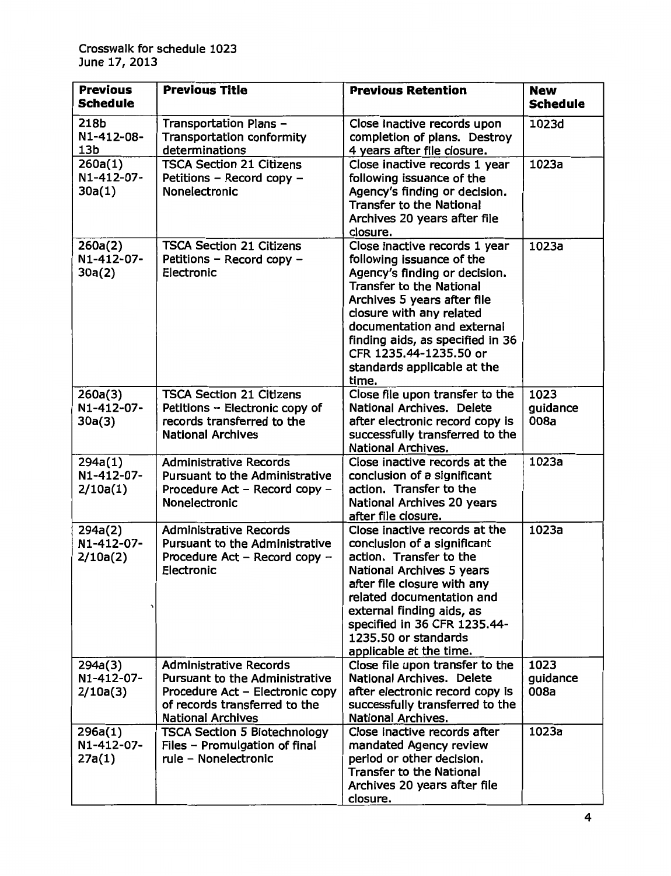| <b>Previous</b><br><b>Schedule</b>    | <b>Previous Title</b>                                                                                                                                                  | <b>Previous Retention</b>                                                                                                                                                                                                                                                                                                     | <b>New</b><br><b>Schedule</b> |
|---------------------------------------|------------------------------------------------------------------------------------------------------------------------------------------------------------------------|-------------------------------------------------------------------------------------------------------------------------------------------------------------------------------------------------------------------------------------------------------------------------------------------------------------------------------|-------------------------------|
| 218b<br>N1-412-08-<br>13 <sub>b</sub> | Transportation Plans -<br><b>Transportation conformity</b><br>determinations                                                                                           | Close inactive records upon<br>completion of plans. Destroy<br>4 years after file closure.                                                                                                                                                                                                                                    | 1023d                         |
| 260a(1)<br>N1-412-07-<br>30a(1)       | <b>TSCA Section 21 Citizens</b><br>Petitions - Record copy -<br>Nonelectronic                                                                                          | Close inactive records 1 year<br>following issuance of the<br>Agency's finding or decision.<br><b>Transfer to the National</b><br>Archives 20 years after file<br>closure.                                                                                                                                                    | 1023a                         |
| 260a(2)<br>N1-412-07-<br>30a(2)       | <b>TSCA Section 21 Citizens</b><br>Petitions - Record copy -<br>Electronic                                                                                             | Close inactive records 1 year<br>following issuance of the<br>Agency's finding or decision.<br><b>Transfer to the National</b><br>Archives 5 years after file<br>closure with any related<br>documentation and external<br>finding aids, as specified in 36<br>CFR 1235.44-1235.50 or<br>standards applicable at the<br>time. | 1023a                         |
| 260a(3)<br>N1-412-07-<br>30a(3)       | <b>TSCA Section 21 Citizens</b><br>Petitions - Electronic copy of<br>records transferred to the<br><b>National Archives</b>                                            | Close file upon transfer to the<br><b>National Archives. Delete</b><br>after electronic record copy is<br>successfully transferred to the<br><b>National Archives.</b>                                                                                                                                                        | 1023<br>guidance<br>008a      |
| 294a(1)<br>N1-412-07-<br>2/10a(1)     | <b>Administrative Records</b><br>Pursuant to the Administrative<br>Procedure Act - Record copy -<br>Nonelectronic                                                      | Close inactive records at the<br>conclusion of a significant<br>action. Transfer to the<br>National Archives 20 years<br>after file closure.                                                                                                                                                                                  | 1023a                         |
| 294a(2)<br>N1-412-07-<br>2/10a(2)     | <b>Administrative Records</b><br><b>Pursuant to the Administrative</b><br>Procedure Act - Record copy -<br>Electronic                                                  | Close inactive records at the<br>conclusion of a significant<br>action. Transfer to the<br>National Archives 5 years<br>after file closure with any<br>related documentation and<br>external finding aids, as<br>specified in 36 CFR 1235.44-<br>1235.50 or standards<br>applicable at the time.                              | 1023a                         |
| 294a(3)<br>N1-412-07-<br>2/10a(3)     | <b>Administrative Records</b><br><b>Pursuant to the Administrative</b><br>Procedure Act - Electronic copy<br>of records transferred to the<br><b>National Archives</b> | Close file upon transfer to the<br><b>National Archives. Delete</b><br>after electronic record copy is<br>successfully transferred to the<br><b>National Archives.</b>                                                                                                                                                        | 1023<br>guidance<br>008a      |
| 296a(1)<br>N1-412-07-<br>27a(1)       | <b>TSCA Section 5 Biotechnology</b><br>Files $-$ Promulgation of final<br>rule - Nonelectronic                                                                         | Close inactive records after<br>mandated Agency review<br>period or other decision.<br><b>Transfer to the National</b><br>Archives 20 years after file<br>closure.                                                                                                                                                            | 1023a                         |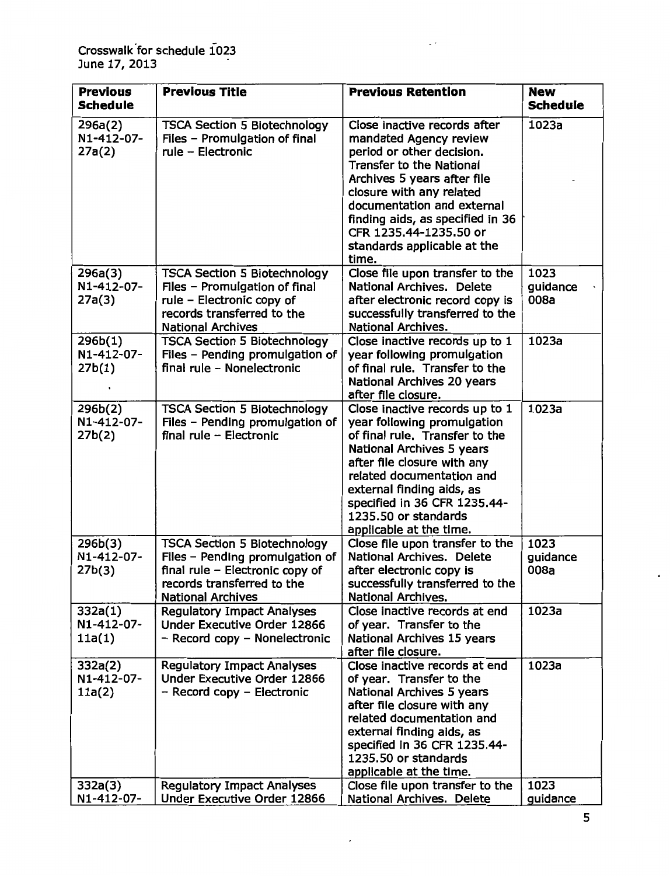| <b>Previous</b><br><b>Schedule</b> | <b>Previous Title</b>                                                                                                                                               | <b>Previous Retention</b>                                                                                                                                                                                                                                                                                       | <b>New</b><br><b>Schedule</b> |
|------------------------------------|---------------------------------------------------------------------------------------------------------------------------------------------------------------------|-----------------------------------------------------------------------------------------------------------------------------------------------------------------------------------------------------------------------------------------------------------------------------------------------------------------|-------------------------------|
| 296a(2)<br>N1-412-07-              | <b>TSCA Section 5 Biotechnology</b>                                                                                                                                 | Close inactive records after                                                                                                                                                                                                                                                                                    | 1023a                         |
| 27a(2)                             | Files - Promulgation of final<br>rule - Electronic                                                                                                                  | mandated Agency review<br>period or other decision.<br><b>Transfer to the National</b><br>Archives 5 years after file<br>closure with any related<br>documentation and external<br>finding aids, as specified in 36<br>CFR 1235.44-1235.50 or<br>standards applicable at the<br>time.                           |                               |
| 296a(3)<br>N1-412-07-<br>27a(3)    | <b>TSCA Section 5 Biotechnology</b><br>Files - Promulgation of final<br>rule - Electronic copy of<br>records transferred to the<br><b>National Archives</b>         | Close file upon transfer to the<br><b>National Archives. Delete</b><br>after electronic record copy is<br>successfully transferred to the<br>National Archives.                                                                                                                                                 | 1023<br>guidance<br>008a      |
| 296b(1)<br>N1-412-07-<br>27b(1)    | <b>TSCA Section 5 Biotechnology</b><br>Files - Pending promulgation of<br>final rule - Nonelectronic                                                                | Close inactive records up to 1<br>year following promulgation<br>of final rule. Transfer to the<br><b>National Archives 20 years</b><br>after file closure.                                                                                                                                                     | 1023a                         |
| 296b(2)<br>N1-412-07-<br>27b(2)    | <b>TSCA Section 5 Biotechnology</b><br>Files - Pending promulgation of<br>final rule - Electronic                                                                   | Close inactive records up to 1<br>year following promulgation<br>of final rule. Transfer to the<br><b>National Archives 5 years</b><br>after file closure with any<br>related documentation and<br>external finding aids, as<br>specified in 36 CFR 1235.44-<br>1235.50 or standards<br>applicable at the time. | 1023a                         |
| 296b(3)<br>N1-412-07-<br>27b(3)    | <b>TSCA Section 5 Biotechnology</b><br>Files - Pending promulgation of<br>final rule - Electronic copy of<br>records transferred to the<br><b>National Archives</b> | Close file upon transfer to the<br>National Archives. Delete<br>after electronic copy is<br>successfully transferred to the<br><b>National Archives.</b>                                                                                                                                                        | 1023<br>guidance<br>008a      |
| 332a(1)<br>N1-412-07-<br>11a(1)    | <b>Regulatory Impact Analyses</b><br>Under Executive Order 12866<br>- Record copy - Nonelectronic                                                                   | Close inactive records at end<br>of year. Transfer to the<br>National Archives 15 years<br>after file closure.                                                                                                                                                                                                  | 1023a                         |
| 332a(2)<br>N1-412-07-<br>11a(2)    | <b>Regulatory Impact Analyses</b><br>Under Executive Order 12866<br>- Record copy - Electronic                                                                      | Close inactive records at end<br>of year. Transfer to the<br><b>National Archives 5 years</b><br>after file closure with any<br>related documentation and<br>external finding aids, as<br>specified in 36 CFR 1235.44-<br>1235.50 or standards<br>applicable at the time.                                       | 1023a<br>1023                 |
| 332a(3)<br>N1-412-07-              | <b>Regulatory Impact Analyses</b><br>Under Executive Order 12866                                                                                                    | Close file upon transfer to the<br>National Archives. Delete                                                                                                                                                                                                                                                    | guidance                      |

 $\epsilon$ 

 $\Box$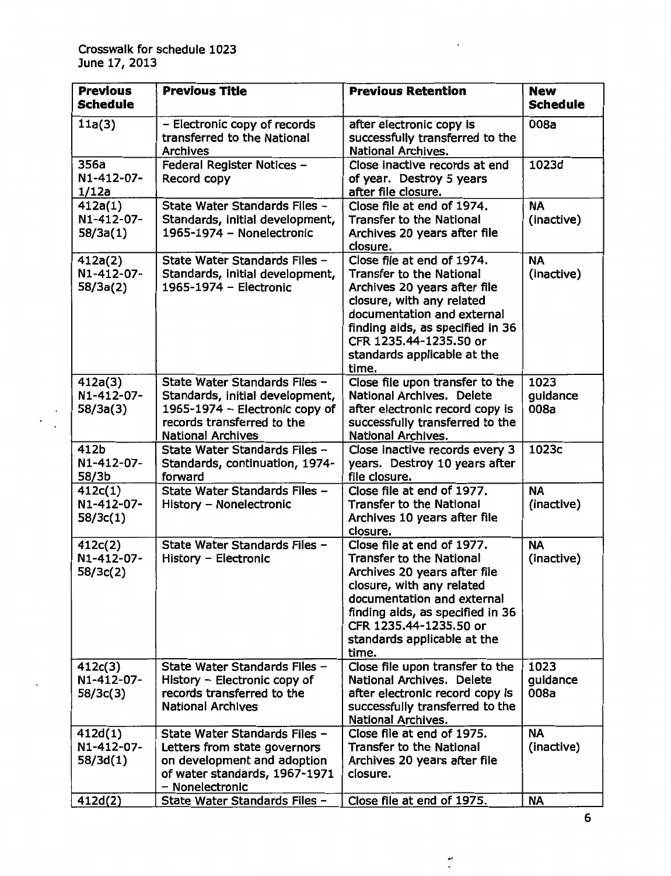$\begin{smallmatrix} \cdot & \cdot \\ \cdot & \cdot \end{smallmatrix}$ 

| <b>Previous</b><br><b>Schedule</b> | <b>Previous Title</b>                                                                                                                                        | <b>Previous Retention</b>                                                                                                                                                                                                                                      | <b>New</b><br><b>Schedule</b> |
|------------------------------------|--------------------------------------------------------------------------------------------------------------------------------------------------------------|----------------------------------------------------------------------------------------------------------------------------------------------------------------------------------------------------------------------------------------------------------------|-------------------------------|
| 11a(3)                             | - Electronic copy of records<br>transferred to the National<br><b>Archives</b>                                                                               | after electronic copy is<br>successfully transferred to the<br><b>National Archives.</b>                                                                                                                                                                       | 008a                          |
| 356a<br>N1-412-07-<br>1/12a        | Federal Register Notices -<br>Record copy                                                                                                                    | Close inactive records at end<br>of year. Destroy 5 years<br>after file closure.                                                                                                                                                                               | 1023d                         |
| 412a(1)<br>N1-412-07-<br>58/3a(1)  | State Water Standards Files -<br>Standards, initial development,<br>1965-1974 - Nonelectronic                                                                | Close file at end of 1974.<br><b>Transfer to the National</b><br>Archives 20 years after file<br>closure.                                                                                                                                                      | <b>NA</b><br>(inactive)       |
| 412a(2)<br>N1-412-07-<br>58/3a(2)  | State Water Standards Files -<br>Standards, initial development,<br>1965-1974 - Electronic                                                                   | Close file at end of 1974.<br><b>Transfer to the National</b><br>Archives 20 years after file<br>closure, with any related<br>documentation and external<br>finding aids, as specified in 36<br>CFR 1235.44-1235.50 or<br>standards applicable at the<br>time. | <b>NA</b><br>(inactive)       |
| 412a(3)<br>N1-412-07-<br>58/3a(3)  | State Water Standards Files -<br>Standards, initial development,<br>1965-1974 - Electronic copy of<br>records transferred to the<br><b>National Archives</b> | Close file upon transfer to the<br><b>National Archives. Delete</b><br>after electronic record copy is<br>successfully transferred to the<br>National Archives.                                                                                                | 1023<br>guidance<br>008a      |
| 412b<br>N1-412-07-<br>58/3b        | State Water Standards Files -<br>Standards, continuation, 1974-<br>forward                                                                                   | Close inactive records every 3<br>years. Destroy 10 years after<br>file closure.                                                                                                                                                                               | 1023c                         |
| 412c(1)<br>N1-412-07-<br>58/3c(1)  | State Water Standards Files -<br>History - Nonelectronic                                                                                                     | Close file at end of 1977.<br><b>Transfer to the National</b><br>Archives 10 years after file<br>closure.                                                                                                                                                      | <b>NA</b><br>(inactive)       |
| 412c(2)<br>N1-412-07-<br>58/3c(2)  | State Water Standards Files -<br>History - Electronic                                                                                                        | Close file at end of 1977.<br><b>Transfer to the National</b><br>Archives 20 years after file<br>closure, with any related<br>documentation and external<br>finding aids, as specified in 36<br>CFR 1235.44-1235.50 or<br>standards applicable at the<br>time. | <b>NA</b><br>(inactive)       |
| 412c(3)<br>N1-412-07-<br>58/3c(3)  | State Water Standards Files -<br>History - Electronic copy of<br>records transferred to the<br><b>National Archives</b>                                      | Close file upon transfer to the<br>National Archives. Delete<br>after electronic record copy is<br>successfully transferred to the<br><b>National Archives.</b>                                                                                                | 1023<br>guidance<br>008a      |
| 412d(1)<br>N1-412-07-<br>58/3d(1)  | State Water Standards Files -<br>Letters from state governors<br>on development and adoption<br>of water standards, 1967-1971<br>- Nonelectronic             | Close file at end of 1975.<br><b>Transfer to the National</b><br>Archives 20 years after file<br>closure.                                                                                                                                                      | <b>NA</b><br>(inactive)       |
| 412d(2)                            | State Water Standards Files -                                                                                                                                | Close file at end of 1975.                                                                                                                                                                                                                                     | <b>NA</b>                     |

 $\bar{\bar{}}$ 

 $\tilde{\cdot}$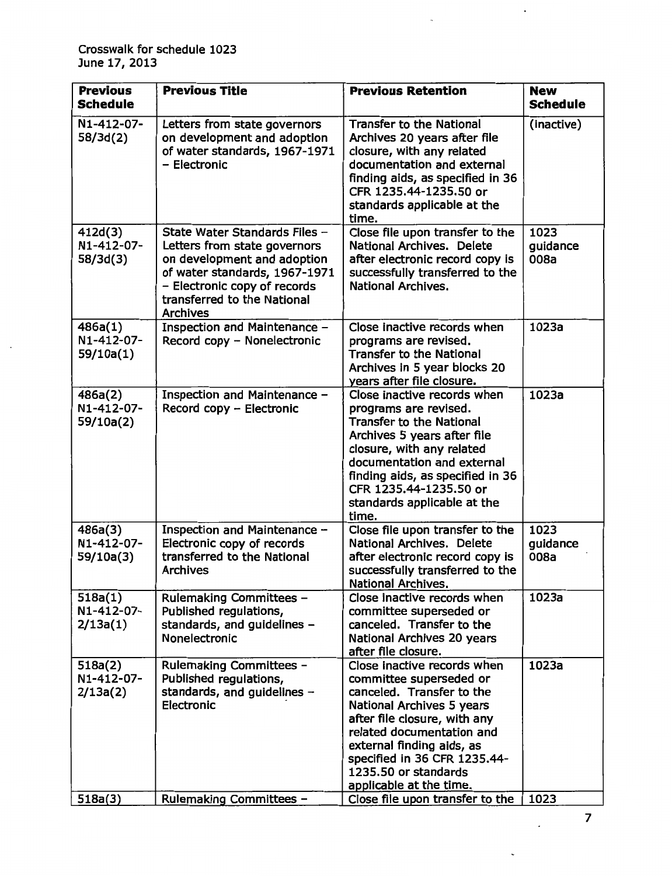$\overline{a}$ 

| <b>Previous</b><br><b>Schedule</b>           | <b>Previous Title</b>                                                                                                                                                                                           | <b>Previous Retention</b>                                                                                                                                                                                                                                                                                                               | <b>New</b><br><b>Schedule</b> |
|----------------------------------------------|-----------------------------------------------------------------------------------------------------------------------------------------------------------------------------------------------------------------|-----------------------------------------------------------------------------------------------------------------------------------------------------------------------------------------------------------------------------------------------------------------------------------------------------------------------------------------|-------------------------------|
| N1-412-07-<br>58/3d(2)                       | Letters from state governors<br>on development and adoption<br>of water standards, 1967-1971<br>- Electronic                                                                                                    | <b>Transfer to the National</b><br>Archives 20 years after file<br>closure, with any related<br>documentation and external<br>finding aids, as specified in 36<br>CFR 1235.44-1235.50 or<br>standards applicable at the<br>time.                                                                                                        | (inactive)                    |
| 412d(3)<br>N1-412-07-<br>58/3d(3)            | State Water Standards Files -<br>Letters from state governors<br>on development and adoption<br>of water standards, 1967-1971<br>- Electronic copy of records<br>transferred to the National<br><b>Archives</b> | Close file upon transfer to the<br>National Archives. Delete<br>after electronic record copy is<br>successfully transferred to the<br><b>National Archives.</b>                                                                                                                                                                         | 1023<br>guidance<br>008a      |
| 486a(1)<br>N1-412-07-<br>59/10a(1)           | Inspection and Maintenance -<br>Record copy - Nonelectronic                                                                                                                                                     | Close inactive records when<br>programs are revised.<br><b>Transfer to the National</b><br>Archives in 5 year blocks 20<br>years after file closure.                                                                                                                                                                                    | 1023a                         |
| 486a(2)<br>N1-412-07-<br>59/10a(2)           | Inspection and Maintenance -<br>Record copy - Electronic                                                                                                                                                        | Close inactive records when<br>programs are revised.<br><b>Transfer to the National</b><br>Archives 5 years after file<br>closure, with any related<br>documentation and external<br>finding aids, as specified in 36<br>CFR 1235.44-1235.50 or<br>standards applicable at the<br>time.                                                 | 1023a                         |
| 486a(3)<br>N1-412-07-<br>59/10a(3)           | Inspection and Maintenance -<br>Electronic copy of records<br>transferred to the National<br><b>Archives</b>                                                                                                    | Close file upon transfer to the<br>National Archives. Delete<br>after electronic record copy is<br>successfully transferred to the<br><b>National Archives.</b>                                                                                                                                                                         | 1023<br>guidance<br>008a      |
| 518a(1)<br>N1-412-07-<br>2/13a(1)            | Rulemaking Committees -<br>Published regulations,<br>standards, and guidelines -<br>Nonelectronic                                                                                                               | Close inactive records when<br>committee superseded or<br>canceled. Transfer to the<br>National Archives 20 years<br>after file closure.                                                                                                                                                                                                | 1023a                         |
| 518a(2)<br>N1-412-07-<br>2/13a(2)<br>518a(3) | Rulemaking Committees -<br>Published regulations,<br>standards, and guidelines $-$<br>Electronic<br>Rulemaking Committees -                                                                                     | Close inactive records when<br>committee superseded or<br>canceled. Transfer to the<br><b>National Archives 5 years</b><br>after file closure, with any<br>related documentation and<br>external finding aids, as<br>specified in 36 CFR 1235.44-<br>1235.50 or standards<br>applicable at the time.<br>Close file upon transfer to the | 1023a<br>1023                 |

7

 $\mathcal{L}$ 

 $\ddot{\phantom{0}}$ 

 $\ddot{\phantom{a}}$ 

 $\overline{\phantom{a}}$